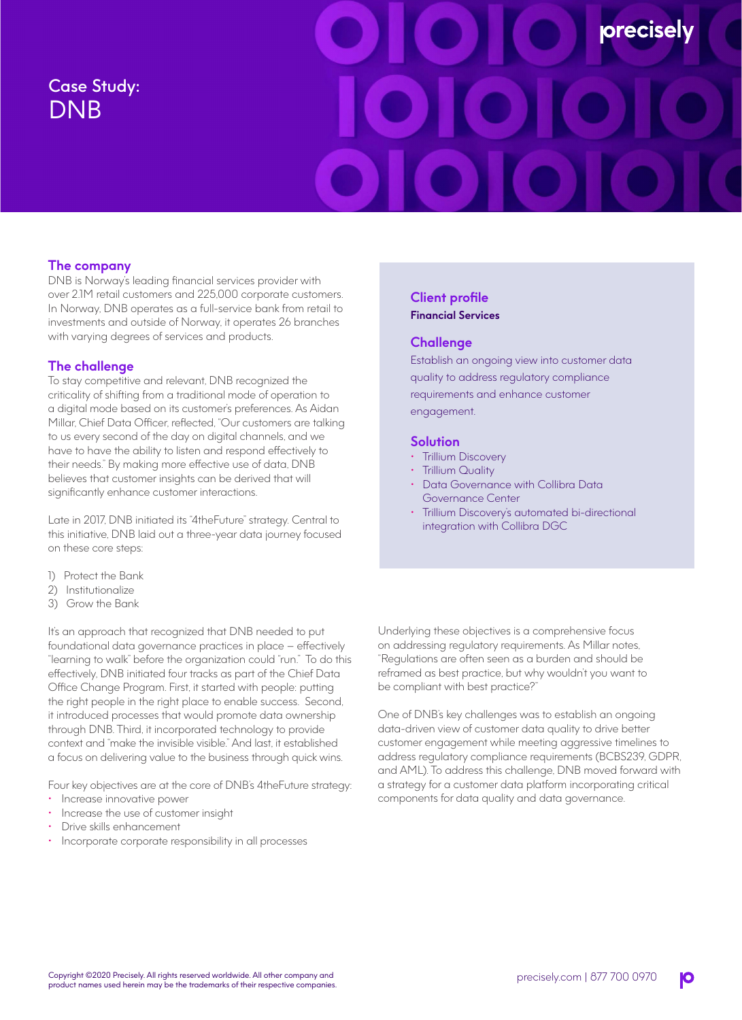# Case Study: DNB



# **The company**

DNB is Norway's leading financial services provider with over 2.1M retail customers and 225,000 corporate customers. In Norway, DNB operates as a full-service bank from retail to investments and outside of Norway, it operates 26 branches with varying degrees of services and products.

## **The challenge**

To stay competitive and relevant, DNB recognized the criticality of shifting from a traditional mode of operation to a digital mode based on its customer's preferences. As Aidan Millar, Chief Data Officer, reflected, "Our customers are talking to us every second of the day on digital channels, and we have to have the ability to listen and respond effectively to their needs." By making more effective use of data, DNB believes that customer insights can be derived that will significantly enhance customer interactions.

Late in 2017, DNB initiated its "4theFuture" strategy. Central to this initiative, DNB laid out a three-year data journey focused on these core steps:

- 1) Protect the Bank
- 2) Institutionalize
- 3) Grow the Bank

It's an approach that recognized that DNB needed to put foundational data governance practices in place – effectively "learning to walk" before the organization could "run." To do this effectively, DNB initiated four tracks as part of the Chief Data Office Change Program. First, it started with people: putting the right people in the right place to enable success. Second, it introduced processes that would promote data ownership through DNB. Third, it incorporated technology to provide context and "make the invisible visible." And last, it established a focus on delivering value to the business through quick wins.

Four key objectives are at the core of DNB's 4theFuture strategy:

- Increase innovative power
- Increase the use of customer insight
- Drive skills enhancement
- Incorporate corporate responsibility in all processes

## **Client profile Financial Services**

## **Challenge**

Establish an ongoing view into customer data quality to address regulatory compliance requirements and enhance customer engagement.

#### **Solution**

- **Trillium Discovery**
- Trillium Quality
- Data Governance with Collibra Data Governance Center
- Trillium Discovery's automated bi-directional integration with Collibra DGC

Underlying these objectives is a comprehensive focus on addressing regulatory requirements. As Millar notes, "Regulations are often seen as a burden and should be reframed as best practice, but why wouldn't you want to be compliant with best practice?"

One of DNB's key challenges was to establish an ongoing data-driven view of customer data quality to drive better customer engagement while meeting aggressive timelines to address regulatory compliance requirements (BCBS239, GDPR, and AML). To address this challenge, DNB moved forward with a strategy for a customer data platform incorporating critical components for data quality and data governance.